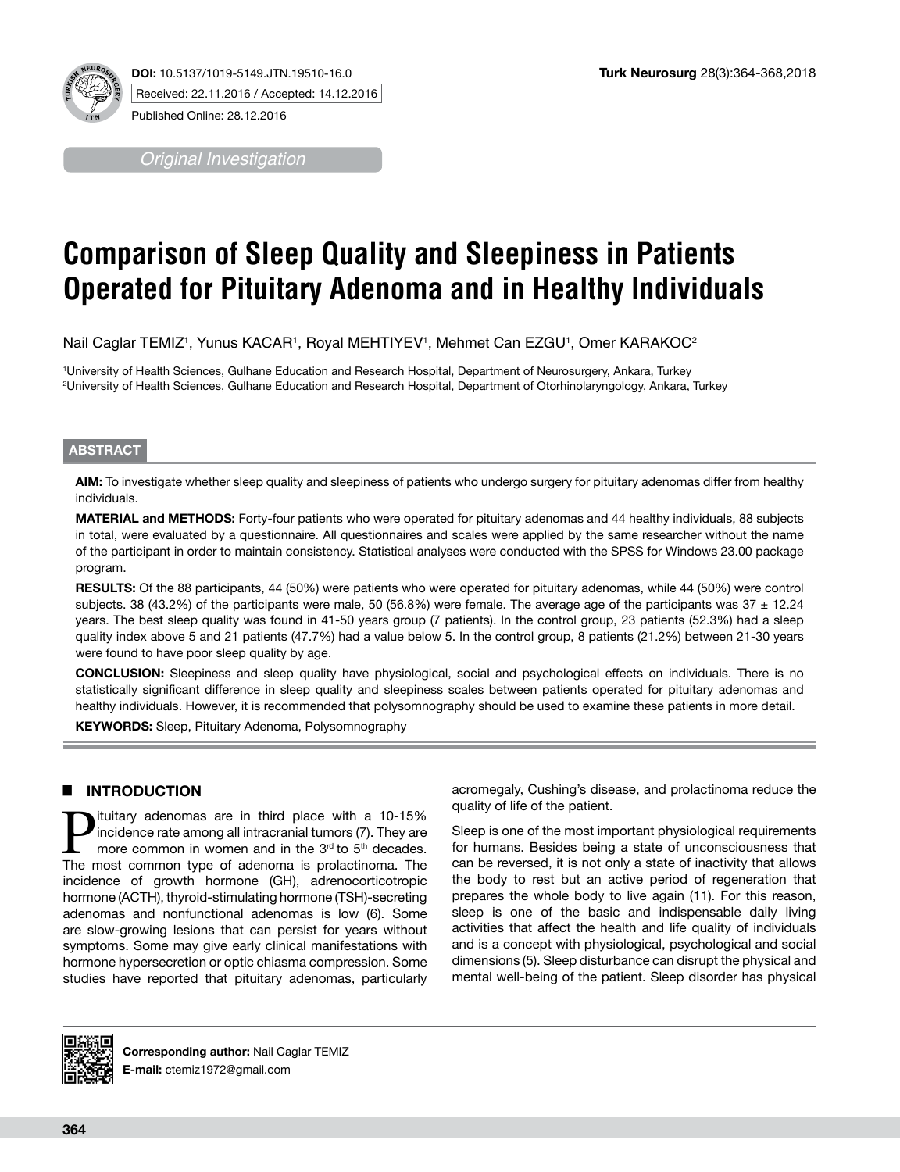

**DOI:** 10.5137/1019-5149.JTN.19510-16.0 Received: 22.11.2016 / Accepted: 14.12.2016 Published Online: 28.12.2016

*Original Investigation*

# **Comparison of Sleep Quality and Sleepiness in Patients Operated for Pituitary Adenoma and in Healthy Individuals**

Nail Caglar TEMIZ', Yunus KACAR', Royal MEHTIYEV', Mehmet Can EZGU', Omer KARAKOC<sup>2</sup>

1 University of Health Sciences, Gulhane Education and Research Hospital, Department of Neurosurgery, Ankara, Turkey 2 University of Health Sciences, Gulhane Education and Research Hospital, Department of Otorhinolaryngology, Ankara, Turkey

### **ABSTRACT**

**AIM:** To investigate whether sleep quality and sleepiness of patients who undergo surgery for pituitary adenomas differ from healthy individuals.

**MATERIAL and METHODS:** Forty-four patients who were operated for pituitary adenomas and 44 healthy individuals, 88 subjects in total, were evaluated by a questionnaire. All questionnaires and scales were applied by the same researcher without the name of the participant in order to maintain consistency. Statistical analyses were conducted with the SPSS for Windows 23.00 package program.

**RESULTS:** Of the 88 participants, 44 (50%) were patients who were operated for pituitary adenomas, while 44 (50%) were control subjects. 38 (43.2%) of the participants were male, 50 (56.8%) were female. The average age of the participants was  $37 \pm 12.24$ years. The best sleep quality was found in 41-50 years group (7 patients). In the control group, 23 patients (52.3%) had a sleep quality index above 5 and 21 patients (47.7%) had a value below 5. In the control group, 8 patients (21.2%) between 21-30 years were found to have poor sleep quality by age.

**CONCLUSION:** Sleepiness and sleep quality have physiological, social and psychological effects on individuals. There is no statistically significant difference in sleep quality and sleepiness scales between patients operated for pituitary adenomas and healthy individuals. However, it is recommended that polysomnography should be used to examine these patients in more detail.

**KEYWORDS:** Sleep, Pituitary Adenoma, Polysomnography

## █ **INTRODUCTION**

**P**ituitary adenomas are in third place with a 10-15%<br>incidence rate among all intracranial tumors (7). They are<br>more common in women and in the  $3<sup>rd</sup>$  to  $5<sup>th</sup>$  decades.<br>The most common type of adenoma is prolact incidence rate among all intracranial tumors (7). They are more common in women and in the 3<sup>rd</sup> to 5<sup>th</sup> decades. The most common type of adenoma is prolactinoma. The incidence of growth hormone (GH), adrenocorticotropic hormone (ACTH), thyroid-stimulating hormone (TSH)-secreting adenomas and nonfunctional adenomas is low (6). Some are slow-growing lesions that can persist for years without symptoms. Some may give early clinical manifestations with hormone hypersecretion or optic chiasma compression. Some studies have reported that pituitary adenomas, particularly acromegaly, Cushing's disease, and prolactinoma reduce the quality of life of the patient.

Sleep is one of the most important physiological requirements for humans. Besides being a state of unconsciousness that can be reversed, it is not only a state of inactivity that allows the body to rest but an active period of regeneration that prepares the whole body to live again (11). For this reason, sleep is one of the basic and indispensable daily living activities that affect the health and life quality of individuals and is a concept with physiological, psychological and social dimensions (5). Sleep disturbance can disrupt the physical and mental well-being of the patient. Sleep disorder has physical



**Corresponding author:** Nail Caglar TEMIZ **E-mail:** ctemiz1972@gmail.com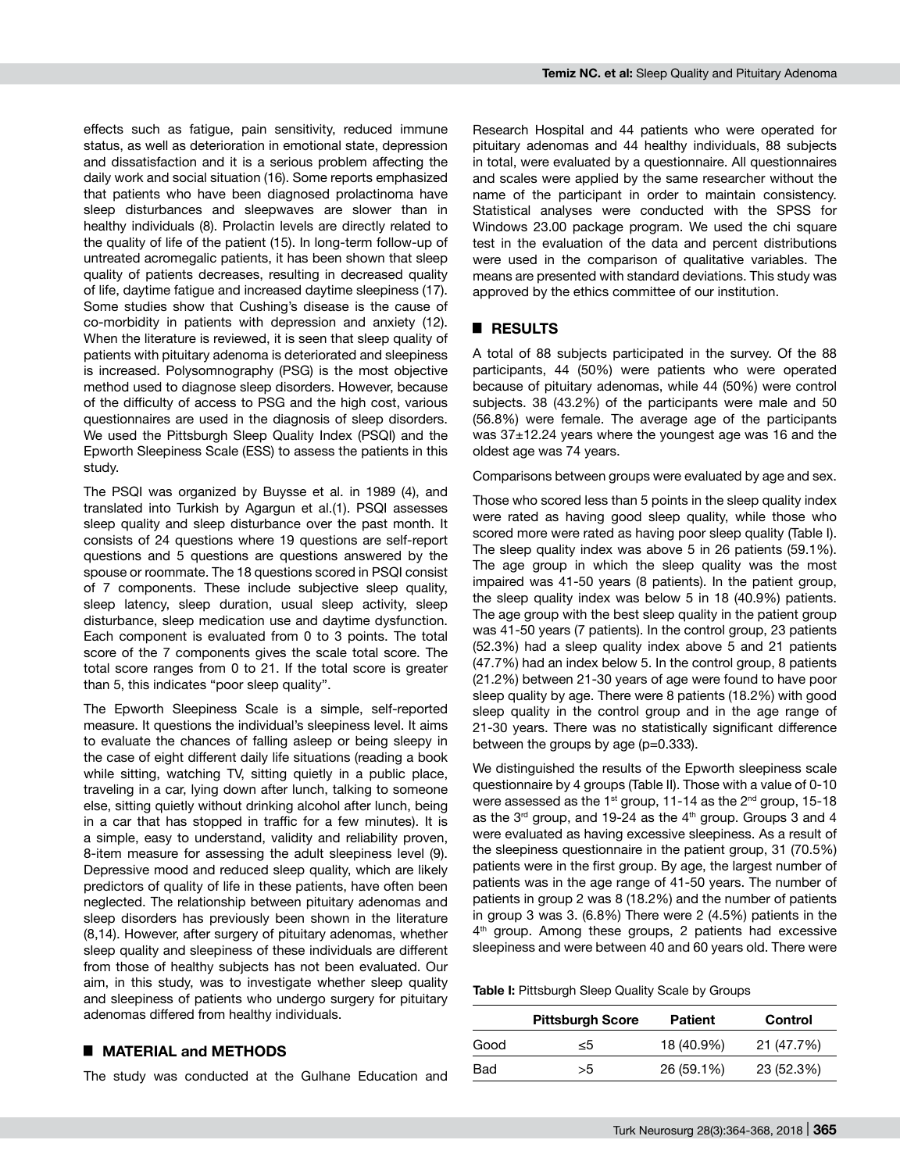effects such as fatigue, pain sensitivity, reduced immune status, as well as deterioration in emotional state, depression and dissatisfaction and it is a serious problem affecting the daily work and social situation (16). Some reports emphasized that patients who have been diagnosed prolactinoma have sleep disturbances and sleepwaves are slower than in healthy individuals (8). Prolactin levels are directly related to the quality of life of the patient (15). In long-term follow-up of untreated acromegalic patients, it has been shown that sleep quality of patients decreases, resulting in decreased quality of life, daytime fatigue and increased daytime sleepiness (17). Some studies show that Cushing's disease is the cause of co-morbidity in patients with depression and anxiety (12). When the literature is reviewed, it is seen that sleep quality of patients with pituitary adenoma is deteriorated and sleepiness is increased. Polysomnography (PSG) is the most objective method used to diagnose sleep disorders. However, because of the difficulty of access to PSG and the high cost, various questionnaires are used in the diagnosis of sleep disorders. We used the Pittsburgh Sleep Quality Index (PSQI) and the Epworth Sleepiness Scale (ESS) to assess the patients in this study.

The PSQI was organized by Buysse et al. in 1989 (4), and translated into Turkish by Agargun et al.(1). PSQI assesses sleep quality and sleep disturbance over the past month. It consists of 24 questions where 19 questions are self-report questions and 5 questions are questions answered by the spouse or roommate. The 18 questions scored in PSQI consist of 7 components. These include subjective sleep quality, sleep latency, sleep duration, usual sleep activity, sleep disturbance, sleep medication use and daytime dysfunction. Each component is evaluated from 0 to 3 points. The total score of the 7 components gives the scale total score. The total score ranges from 0 to 21. If the total score is greater than 5, this indicates "poor sleep quality".

The Epworth Sleepiness Scale is a simple, self-reported measure. It questions the individual's sleepiness level. It aims to evaluate the chances of falling asleep or being sleepy in the case of eight different daily life situations (reading a book while sitting, watching TV, sitting quietly in a public place, traveling in a car, lying down after lunch, talking to someone else, sitting quietly without drinking alcohol after lunch, being in a car that has stopped in traffic for a few minutes). It is a simple, easy to understand, validity and reliability proven, 8-item measure for assessing the adult sleepiness level (9). Depressive mood and reduced sleep quality, which are likely predictors of quality of life in these patients, have often been neglected. The relationship between pituitary adenomas and sleep disorders has previously been shown in the literature (8,14). However, after surgery of pituitary adenomas, whether sleep quality and sleepiness of these individuals are different from those of healthy subjects has not been evaluated. Our aim, in this study, was to investigate whether sleep quality and sleepiness of patients who undergo surgery for pituitary adenomas differed from healthy individuals.

## █ **MATERIAL and METHODS**

The study was conducted at the Gulhane Education and

Research Hospital and 44 patients who were operated for pituitary adenomas and 44 healthy individuals, 88 subjects in total, were evaluated by a questionnaire. All questionnaires and scales were applied by the same researcher without the name of the participant in order to maintain consistency. Statistical analyses were conducted with the SPSS for Windows 23.00 package program. We used the chi square test in the evaluation of the data and percent distributions were used in the comparison of qualitative variables. The means are presented with standard deviations. This study was approved by the ethics committee of our institution.

### █ **RESULTS**

A total of 88 subjects participated in the survey. Of the 88 participants, 44 (50%) were patients who were operated because of pituitary adenomas, while 44 (50%) were control subjects. 38 (43.2%) of the participants were male and 50 (56.8%) were female. The average age of the participants was 37±12.24 years where the youngest age was 16 and the oldest age was 74 years.

Comparisons between groups were evaluated by age and sex.

Those who scored less than 5 points in the sleep quality index were rated as having good sleep quality, while those who scored more were rated as having poor sleep quality (Table I). The sleep quality index was above 5 in 26 patients (59.1%). The age group in which the sleep quality was the most impaired was 41-50 years (8 patients). In the patient group, the sleep quality index was below 5 in 18 (40.9%) patients. The age group with the best sleep quality in the patient group was 41-50 years (7 patients). In the control group, 23 patients (52.3%) had a sleep quality index above 5 and 21 patients (47.7%) had an index below 5. In the control group, 8 patients (21.2%) between 21-30 years of age were found to have poor sleep quality by age. There were 8 patients (18.2%) with good sleep quality in the control group and in the age range of 21-30 years. There was no statistically significant difference between the groups by age (p=0.333).

We distinguished the results of the Epworth sleepiness scale questionnaire by 4 groups (Table II). Those with a value of 0-10 were assessed as the 1st group, 11-14 as the  $2<sup>nd</sup>$  group, 15-18 as the  $3<sup>rd</sup>$  group, and 19-24 as the  $4<sup>th</sup>$  group. Groups 3 and 4 were evaluated as having excessive sleepiness. As a result of the sleepiness questionnaire in the patient group, 31 (70.5%) patients were in the first group. By age, the largest number of patients was in the age range of 41-50 years. The number of patients in group 2 was 8 (18.2%) and the number of patients in group 3 was 3. (6.8%) There were 2 (4.5%) patients in the 4<sup>th</sup> group. Among these groups, 2 patients had excessive sleepiness and were between 40 and 60 years old. There were

**Table I:** Pittsburgh Sleep Quality Scale by Groups

|      | <b>Pittsburgh Score</b> | <b>Patient</b> | Control    |
|------|-------------------------|----------------|------------|
| Good | <5                      | 18 (40.9%)     | 21 (47.7%) |
| Bad  | >5                      | 26 (59.1%)     | 23 (52.3%) |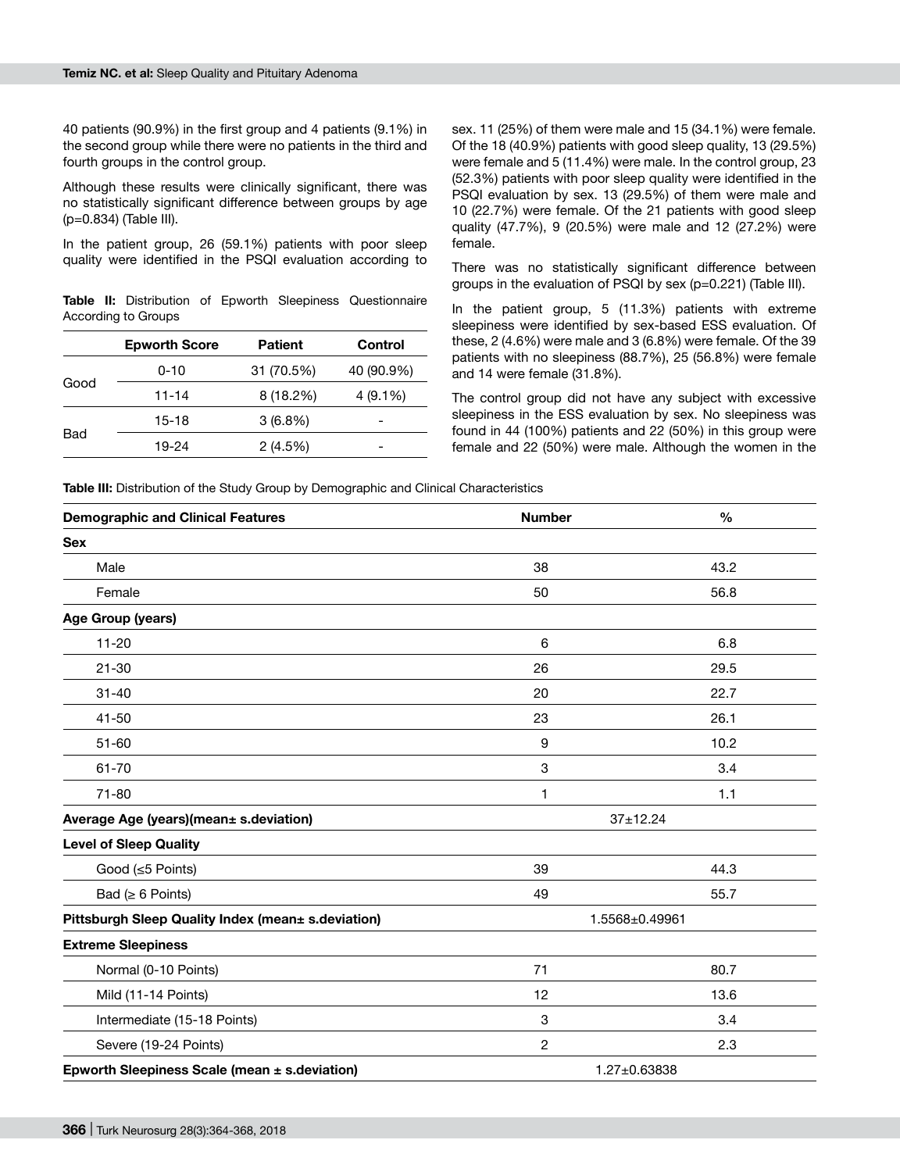40 patients (90.9%) in the first group and 4 patients (9.1%) in the second group while there were no patients in the third and fourth groups in the control group.

Although these results were clinically significant, there was no statistically significant difference between groups by age (p=0.834) (Table III).

In the patient group, 26 (59.1%) patients with poor sleep quality were identified in the PSQI evaluation according to

**Table II:** Distribution of Epworth Sleepiness Questionnaire According to Groups

|      | <b>Epworth Score</b> | <b>Patient</b> | Control    |
|------|----------------------|----------------|------------|
| Good | $0 - 10$             | 31 (70.5%)     | 40 (90.9%) |
|      | $11 - 14$            | 8 (18.2%)      | $4(9.1\%)$ |
| Bad  | 15-18                | $3(6.8\%)$     |            |
|      | 19-24                | 2(4.5%)        |            |

sex. 11 (25%) of them were male and 15 (34.1%) were female. Of the 18 (40.9%) patients with good sleep quality, 13 (29.5%) were female and 5 (11.4%) were male. In the control group, 23 (52.3%) patients with poor sleep quality were identified in the PSQI evaluation by sex. 13 (29.5%) of them were male and 10 (22.7%) were female. Of the 21 patients with good sleep quality (47.7%), 9 (20.5%) were male and 12 (27.2%) were female.

There was no statistically significant difference between groups in the evaluation of PSQI by sex (p=0.221) (Table III).

In the patient group, 5 (11.3%) patients with extreme sleepiness were identified by sex-based ESS evaluation. Of these, 2 (4.6%) were male and 3 (6.8%) were female. Of the 39 patients with no sleepiness (88.7%), 25 (56.8%) were female and 14 were female (31.8%).

The control group did not have any subject with excessive sleepiness in the ESS evaluation by sex. No sleepiness was found in 44 (100%) patients and 22 (50%) in this group were female and 22 (50%) were male. Although the women in the

**Table III:** Distribution of the Study Group by Demographic and Clinical Characteristics

| <b>Demographic and Clinical Features</b>           | <b>Number</b>             | $\frac{0}{0}$      |
|----------------------------------------------------|---------------------------|--------------------|
| <b>Sex</b>                                         |                           |                    |
| Male                                               | 38                        | 43.2               |
| Female                                             | 50                        | 56.8               |
| Age Group (years)                                  |                           |                    |
| $11 - 20$                                          | 6                         | 6.8                |
| $21 - 30$                                          | 26                        | 29.5               |
| $31 - 40$                                          | 20                        | 22.7               |
| $41 - 50$                                          | 23                        | 26.1               |
| $51 - 60$                                          | 9                         | 10.2               |
| 61-70                                              | $\ensuremath{\mathsf{3}}$ | 3.4                |
| $71 - 80$                                          | 1                         | 1.1                |
| Average Age (years)(mean± s.deviation)             | $37 + 12.24$              |                    |
| <b>Level of Sleep Quality</b>                      |                           |                    |
| Good (≤5 Points)                                   | 39                        | 44.3               |
| Bad ( $\geq 6$ Points)                             | 49                        | 55.7               |
| Pittsburgh Sleep Quality Index (mean± s.deviation) | 1.5568±0.49961            |                    |
| <b>Extreme Sleepiness</b>                          |                           |                    |
| Normal (0-10 Points)                               | 71                        | 80.7               |
| Mild (11-14 Points)                                | 12                        | 13.6               |
| Intermediate (15-18 Points)                        | 3                         | 3.4                |
| Severe (19-24 Points)                              | $\mathbf{2}$              | 2.3                |
| Epworth Sleepiness Scale (mean ± s.deviation)      |                           | $1.27 \pm 0.63838$ |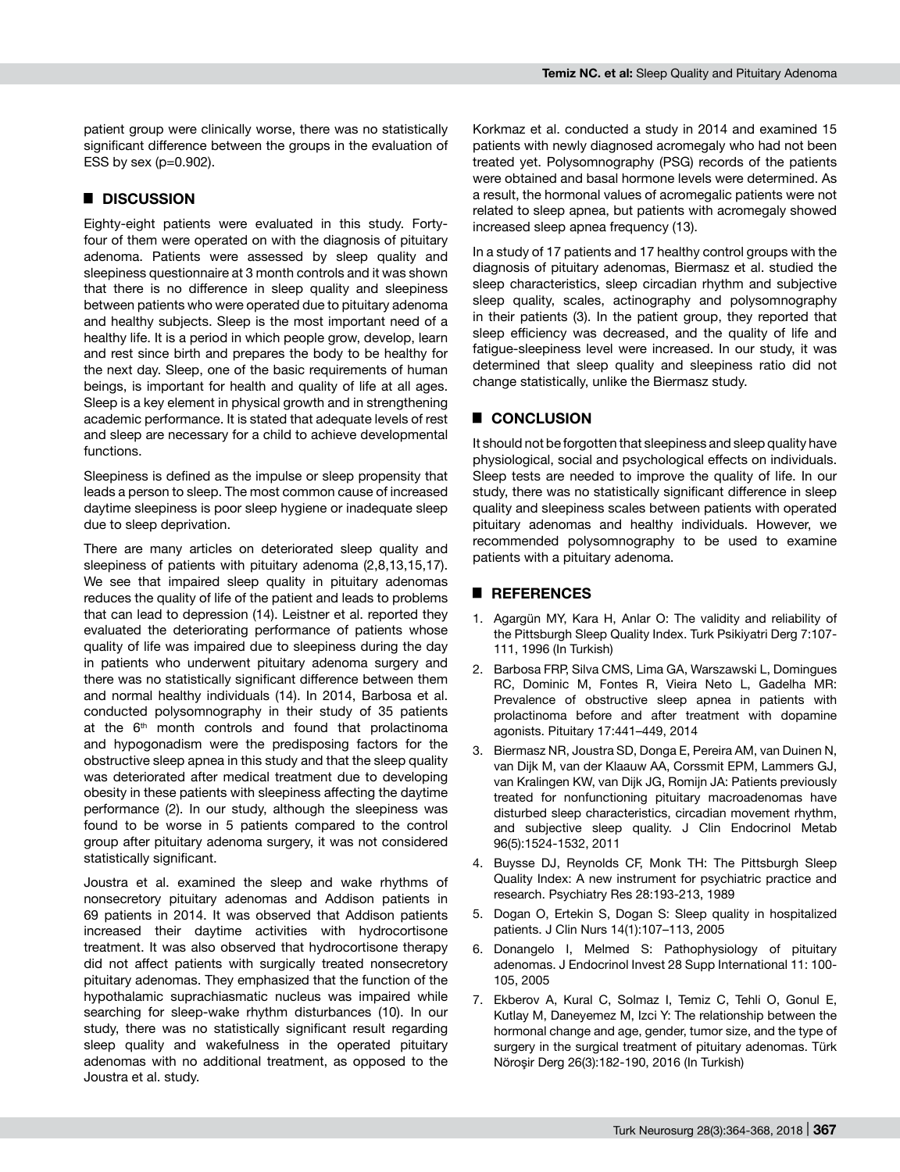patient group were clinically worse, there was no statistically significant difference between the groups in the evaluation of ESS by sex (p=0.902).

#### █ **DISCUSSION**

Eighty-eight patients were evaluated in this study. Fortyfour of them were operated on with the diagnosis of pituitary adenoma. Patients were assessed by sleep quality and sleepiness questionnaire at 3 month controls and it was shown that there is no difference in sleep quality and sleepiness between patients who were operated due to pituitary adenoma and healthy subjects. Sleep is the most important need of a healthy life. It is a period in which people grow, develop, learn and rest since birth and prepares the body to be healthy for the next day. Sleep, one of the basic requirements of human beings, is important for health and quality of life at all ages. Sleep is a key element in physical growth and in strengthening academic performance. It is stated that adequate levels of rest and sleep are necessary for a child to achieve developmental functions.

Sleepiness is defined as the impulse or sleep propensity that leads a person to sleep. The most common cause of increased daytime sleepiness is poor sleep hygiene or inadequate sleep due to sleep deprivation.

There are many articles on deteriorated sleep quality and sleepiness of patients with pituitary adenoma (2,8,13,15,17). We see that impaired sleep quality in pituitary adenomas reduces the quality of life of the patient and leads to problems that can lead to depression (14). Leistner et al. reported they evaluated the deteriorating performance of patients whose quality of life was impaired due to sleepiness during the day in patients who underwent pituitary adenoma surgery and there was no statistically significant difference between them and normal healthy individuals (14). In 2014, Barbosa et al. conducted polysomnography in their study of 35 patients at the 6<sup>th</sup> month controls and found that prolactinoma and hypogonadism were the predisposing factors for the obstructive sleep apnea in this study and that the sleep quality was deteriorated after medical treatment due to developing obesity in these patients with sleepiness affecting the daytime performance (2). In our study, although the sleepiness was found to be worse in 5 patients compared to the control group after pituitary adenoma surgery, it was not considered statistically significant.

Joustra et al. examined the sleep and wake rhythms of nonsecretory pituitary adenomas and Addison patients in 69 patients in 2014. It was observed that Addison patients increased their daytime activities with hydrocortisone treatment. It was also observed that hydrocortisone therapy did not affect patients with surgically treated nonsecretory pituitary adenomas. They emphasized that the function of the hypothalamic suprachiasmatic nucleus was impaired while searching for sleep-wake rhythm disturbances (10). In our study, there was no statistically significant result regarding sleep quality and wakefulness in the operated pituitary adenomas with no additional treatment, as opposed to the Joustra et al. study.

Korkmaz et al. conducted a study in 2014 and examined 15 patients with newly diagnosed acromegaly who had not been treated yet. Polysomnography (PSG) records of the patients were obtained and basal hormone levels were determined. As a result, the hormonal values of acromegalic patients were not related to sleep apnea, but patients with acromegaly showed increased sleep apnea frequency (13).

In a study of 17 patients and 17 healthy control groups with the diagnosis of pituitary adenomas, Biermasz et al. studied the sleep characteristics, sleep circadian rhythm and subjective sleep quality, scales, actinography and polysomnography in their patients (3). In the patient group, they reported that sleep efficiency was decreased, and the quality of life and fatigue-sleepiness level were increased. In our study, it was determined that sleep quality and sleepiness ratio did not change statistically, unlike the Biermasz study.

### █ **CONCLUSION**

It should not be forgotten that sleepiness and sleep quality have physiological, social and psychological effects on individuals. Sleep tests are needed to improve the quality of life. In our study, there was no statistically significant difference in sleep quality and sleepiness scales between patients with operated pituitary adenomas and healthy individuals. However, we recommended polysomnography to be used to examine patients with a pituitary adenoma.

#### █ **REFERENCES**

- 1. Agargün MY, Kara H, Anlar O: The validity and reliability of the Pittsburgh Sleep Quality Index. Turk Psikiyatri Derg 7:107- 111, 1996 (In Turkish)
- 2. Barbosa FRP, Silva CMS, Lima GA, Warszawski L, Domingues RC, Dominic M, Fontes R, Vieira Neto L, Gadelha MR: Prevalence of obstructive sleep apnea in patients with prolactinoma before and after treatment with dopamine agonists. Pituitary 17:441–449, 2014
- 3. Biermasz NR, Joustra SD, Donga E, Pereira AM, van Duinen N, van Dijk M, van der Klaauw AA, Corssmit EPM, Lammers GJ, van Kralingen KW, van Dijk JG, Romijn JA: Patients previously treated for nonfunctioning pituitary macroadenomas have disturbed sleep characteristics, circadian movement rhythm, and subjective sleep quality. J Clin Endocrinol Metab 96(5):1524-1532, 2011
- 4. Buysse DJ, Reynolds CF, Monk TH: The Pittsburgh Sleep Quality Index: A new instrument for psychiatric practice and research. Psychiatry Res 28:193-213, 1989
- 5. Dogan O, Ertekin S, Dogan S: Sleep quality in hospitalized patients. J Clin Nurs 14(1):107–113, 2005
- 6. Donangelo I, Melmed S: Pathophysiology of pituitary adenomas. J Endocrinol Invest 28 Supp International 11: 100- 105, 2005
- 7. Ekberov A, Kural C, Solmaz I, Temiz C, Tehli O, Gonul E, Kutlay M, Daneyemez M, Izci Y: The relationship between the hormonal change and age, gender, tumor size, and the type of surgery in the surgical treatment of pituitary adenomas. Türk Nöroşir Derg 26(3):182-190, 2016 (In Turkish)